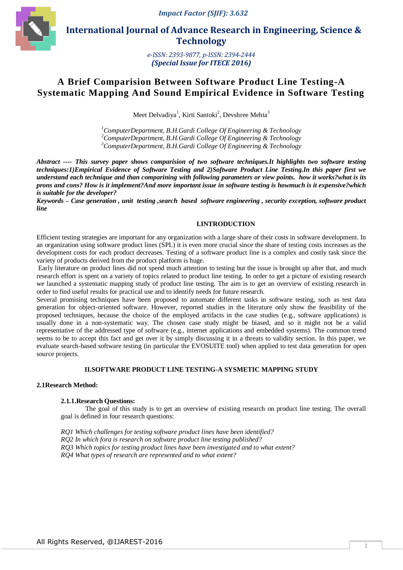

 **International Journal of Advance Research in Engineering, Science & Technology** 

> *e-ISSN: 2393-9877, p-ISSN: 2394-2444 (Special Issue for ITECE 2016)*

# **A Brief Comparision Between Software Product Line Testing-A Systematic Mapping And Sound Empirical Evidence in Software Testing**

Meet Delvadiya<sup>1</sup>, Kirti Santoki<sup>2</sup>, Devshree Mehta<sup>3</sup>

*<sup>1</sup>ComputerDepartment, B.H.Gardi College Of Engineering & Technology <sup>2</sup>ComputerDepartment, B.H.Gardi College Of Engineering & Technology <sup>3</sup>ComputerDepartment, B.H.Gardi College Of Engineering & Technology*

*Abstract ---- This survey paper shows comparision of two software techniques.It highlights two software testing techniques:1)Empirical Evidence of Software Testing and 2)Software Product Line Testing.In this paper first we understand each technique and than comparining with following parameters or view points. how it works?what is its prons and cons? How is it implement?And more important issue in software testing is howmuch is it expensive?which is suitable for the developer?* 

*Keywords – Case generation , unit testing ,search based software engineering , security exception, software product line*

#### **I.INTRODUCTION**

Efficient testing strategies are important for any organization with a large share of their costs in software development. In an organization using software product lines (SPL) it is even more crucial since the share of testing costs increases as the development costs for each product decreases. Testing of a software product line is a complex and costly task since the variety of products derived from the product platform is huge.

Early literature on product lines did not spend much attention to testing but the issue is brought up after that, and much research effort is spent on a variety of topics related to product line testing. In order to get a picture of existing research we launched a systematic mapping study of product line testing. The aim is to get an overview of existing research in order to find useful results for practical use and to identify needs for future research.

Several promising techniques have been proposed to automate different tasks in software testing, such as test data generation for object-oriented software. However, reported studies in the literature only show the feasibility of the proposed techniques, because the choice of the employed artifacts in the case studies (e.g., software applications) is usually done in a non-systematic way. The chosen case study might be biased, and so it might not be a valid representative of the addressed type of software (e.g., internet applications and embedded systems). The common trend seems to be to accept this fact and get over it by simply discussing it in a threats to validity section. In this paper, we evaluate search-based software testing (in particular the EVOSUITE tool) when applied to test data generation for open source projects.

## **II.SOFTWARE PRODUCT LINE TESTING-A SYSMETIC MAPPING STUDY**

## **2.1Research Method:**

#### **2.1.1.Research Questions:**

The goal of this study is to get an overview of existing research on product line testing. The overall goal is defined in four research questions:

*RQ1 Which challenges for testing software product lines have been identified? RQ2 In which fora is research on software product line testing published? RQ3 Which topics for testing product lines have been investigated and to what extent? RQ4 What types of research are represented and to what extent?*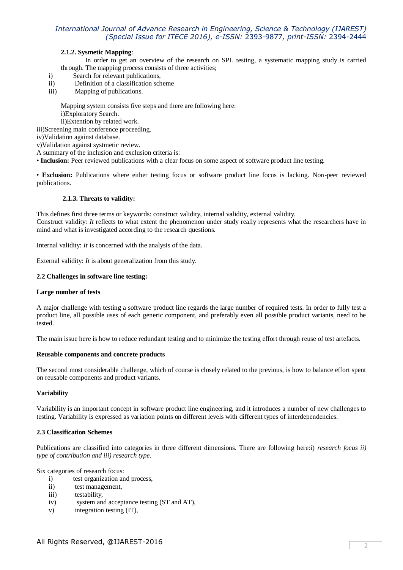# *International Journal of Advance Research in Engineering, Science & Technology (IJAREST) (Special Issue for ITECE 2016), e-ISSN:* 2393-9877*, print-ISSN:* 2394-2444

#### **2.1.2. Sysmetic Mapping***:*

In order to get an overview of the research on SPL testing, a systematic mapping study is carried through. The mapping process consists of three activities;

- i) Search for relevant publications,
- ii) Definition of a classification scheme
- iii) Mapping of publications.

Mapping system consists five steps and there are following here: i)Exploratory Search.

ii)Extention by related work.

iii)Screening main conference proceeding.

iv)Validation against database.

v)Validation against systmetic review.

A summary of the inclusion and exclusion criteria is:

• **Inclusion:** Peer reviewed publications with a clear focus on some aspect of software product line testing.

• **Exclusion:** Publications where either testing focus or software product line focus is lacking. Non-peer reviewed publications.

#### **2.1.3. Threats to validity:**

This defines first three terms or keywords: construct validity, internal validity, external validity. Construct validity: *It* reflects to what extent the phenomenon under study really represents what the researchers have in mind and what is investigated according to the research questions.

Internal validity: *It* is concerned with the analysis of the data.

External validity: *It* is about generalization from this study.

#### **2.2 Challenges in software line testing:**

#### **Large number of tests**

A major challenge with testing a software product line regards the large number of required tests. In order to fully test a product line, all possible uses of each generic component, and preferably even all possible product variants, need to be tested.

The main issue here is how to reduce redundant testing and to minimize the testing effort through reuse of test artefacts.

#### **Reusable components and concrete products**

The second most considerable challenge, which of course is closely related to the previous, is how to balance effort spent on reusable components and product variants.

## **Variability**

Variability is an important concept in software product line engineering, and it introduces a number of new challenges to testing. Variability is expressed as variation points on different levels with different types of interdependencies.

#### **2.3 Classification Schemes**

Publications are classified into categories in three different dimensions. There are following here:i) *research focus ii) type of contribution and iii) research type*.

Six categories of research focus:

- i) test organization and process,
- ii) test management,
- iii) testability,
- iv) system and acceptance testing (ST and AT),
- v) integration testing (IT),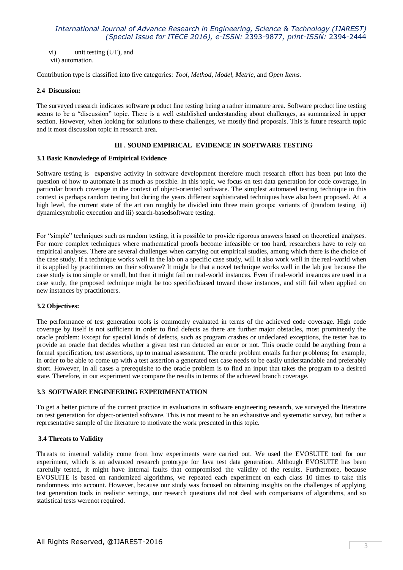## *International Journal of Advance Research in Engineering, Science & Technology (IJAREST) (Special Issue for ITECE 2016), e-ISSN:* 2393-9877*, print-ISSN:* 2394-2444

vi) unit testing (UT), and vii) automation.

Contribution type is classified into five categories: *Tool, Method, Model, Metric,* and *Open Items*.

#### **2.4 Discussion:**

The surveyed research indicates software product line testing being a rather immature area. Software product line testing seems to be a "discussion" topic. There is a well established understanding about challenges, as summarized in upper section. However, when looking for solutions to these challenges, we mostly find proposals. This is future research topic and it most discussion topic in research area.

## **III . SOUND EMPIRICAL EVIDENCE IN SOFTWARE TESTING**

#### **3.1 Basic Knowledege of Emipirical Evidence**

Software testing is expensive activity in software development therefore much research effort has been put into the question of how to automate it as much as possible. In this topic, we focus on test data generation for code coverage, in particular branch coverage in the context of object-oriented software. The simplest automated testing technique in this context is perhaps random testing but during the years different sophisticated techniques have also been proposed. At a high level, the current state of the art can roughly be divided into three main groups: variants of i)random testing ii) dynamicsymbolic execution and iii) search-basedsoftware testing.

For "simple" techniques such as random testing, it is possible to provide rigorous answers based on theoretical analyses. For more complex techniques where mathematical proofs become infeasible or too hard, researchers have to rely on empirical analyses. There are several challenges when carrying out empirical studies, among which there is the choice of the case study. If a technique works well in the lab on a specific case study, will it also work well in the real-world when it is applied by practitioners on their software? It might be that a novel technique works well in the lab just because the case study is too simple or small, but then it might fail on real-world instances. Even if real-world instances are used in a case study, the proposed technique might be too specific/biased toward those instances, and still fail when applied on new instances by practitioners.

#### **3.2 Objectives:**

The performance of test generation tools is commonly evaluated in terms of the achieved code coverage. High code coverage by itself is not sufficient in order to find defects as there are further major obstacles, most prominently the oracle problem: Except for special kinds of defects, such as program crashes or undeclared exceptions, the tester has to provide an oracle that decides whether a given test run detected an error or not. This oracle could be anything from a formal specification, test assertions, up to manual assessment. The oracle problem entails further problems; for example, in order to be able to come up with a test assertion a generated test case needs to be easily understandable and preferably short. However, in all cases a prerequisite to the oracle problem is to find an input that takes the program to a desired state. Therefore, in our experiment we compare the results in terms of the achieved branch coverage.

## **3.3 SOFTWARE ENGINEERING EXPERIMENTATION**

To get a better picture of the current practice in evaluations in software engineering research, we surveyed the literature on test generation for object-oriented software. This is not meant to be an exhaustive and systematic survey, but rather a representative sample of the literature to motivate the work presented in this topic.

#### **3.4 Threats to Validity**

Threats to internal validity come from how experiments were carried out. We used the EVOSUITE tool for our experiment, which is an advanced research prototype for Java test data generation. Although EVOSUITE has been carefully tested, it might have internal faults that compromised the validity of the results. Furthermore, because EVOSUITE is based on randomized algorithms, we repeated each experiment on each class 10 times to take this randomness into account. However, because our study was focused on obtaining insights on the challenges of applying test generation tools in realistic settings, our research questions did not deal with comparisons of algorithms, and so statistical tests werenot required.